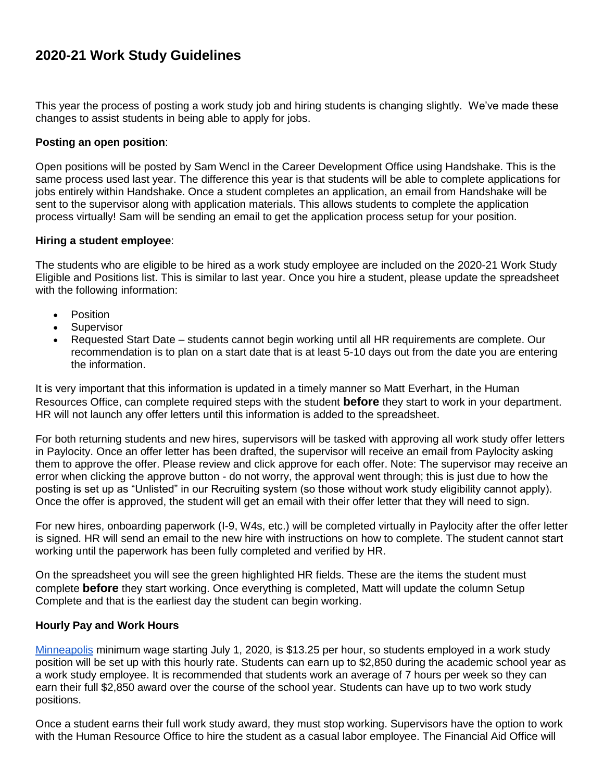## **2020-21 Work Study Guidelines**

This year the process of posting a work study job and hiring students is changing slightly. We've made these changes to assist students in being able to apply for jobs.

## **Posting an open position**:

Open positions will be posted by Sam Wencl in the Career Development Office using Handshake. This is the same process used last year. The difference this year is that students will be able to complete applications for jobs entirely within Handshake. Once a student completes an application, an email from Handshake will be sent to the supervisor along with application materials. This allows students to complete the application process virtually! Sam will be sending an email to get the application process setup for your position.

## **Hiring a student employee**:

The students who are eligible to be hired as a work study employee are included on the 2020-21 Work Study Eligible and Positions list. This is similar to last year. Once you hire a student, please update the spreadsheet with the following information:

- Position
- Supervisor
- Requested Start Date students cannot begin working until all HR requirements are complete. Our recommendation is to plan on a start date that is at least 5-10 days out from the date you are entering the information.

It is very important that this information is updated in a timely manner so Matt Everhart, in the Human Resources Office, can complete required steps with the student **before** they start to work in your department. HR will not launch any offer letters until this information is added to the spreadsheet.

For both returning students and new hires, supervisors will be tasked with approving all work study offer letters in Paylocity. Once an offer letter has been drafted, the supervisor will receive an email from Paylocity asking them to approve the offer. Please review and click approve for each offer. Note: The supervisor may receive an error when clicking the approve button - do not worry, the approval went through; this is just due to how the posting is set up as "Unlisted" in our Recruiting system (so those without work study eligibility cannot apply). Once the offer is approved, the student will get an email with their offer letter that they will need to sign.

For new hires, onboarding paperwork (I-9, W4s, etc.) will be completed virtually in Paylocity after the offer letter is signed. HR will send an email to the new hire with instructions on how to complete. The student cannot start working until the paperwork has been fully completed and verified by HR.

On the spreadsheet you will see the green highlighted HR fields. These are the items the student must complete **before** they start working. Once everything is completed, Matt will update the column Setup Complete and that is the earliest day the student can begin working.

## **Hourly Pay and Work Hours**

[Minneapolis](http://minimumwage.minneapolismn.gov/) minimum wage starting July 1, 2020, is \$13.25 per hour, so students employed in a work study position will be set up with this hourly rate. Students can earn up to \$2,850 during the academic school year as a work study employee. It is recommended that students work an average of 7 hours per week so they can earn their full \$2,850 award over the course of the school year. Students can have up to two work study positions.

Once a student earns their full work study award, they must stop working. Supervisors have the option to work with the Human Resource Office to hire the student as a casual labor employee. The Financial Aid Office will